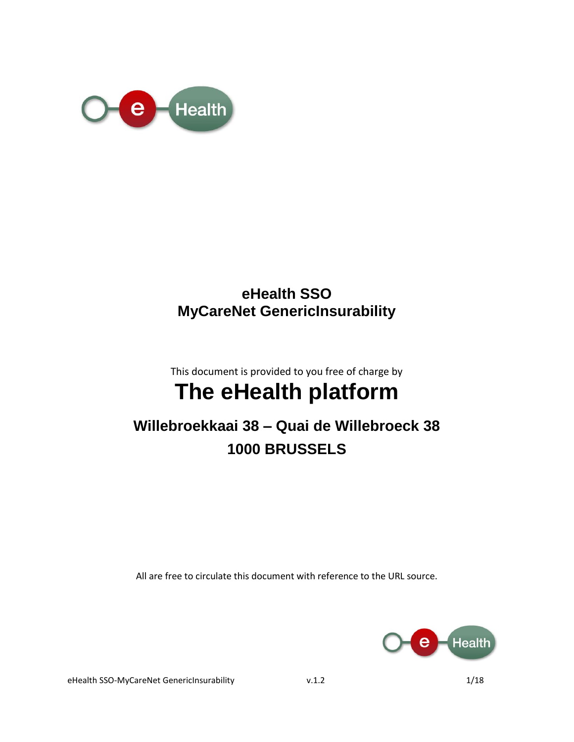

### **eHealth SSO MyCareNet GenericInsurability**

This document is provided to you free of charge by

# **The eHealth platform**

# **Willebroekkaai 38 – Quai de Willebroeck 38 1000 BRUSSELS**

All are free to circulate this document with reference to the URL source.



eHealth SSO-MyCareNet GenericInsurability v.1.2 1/18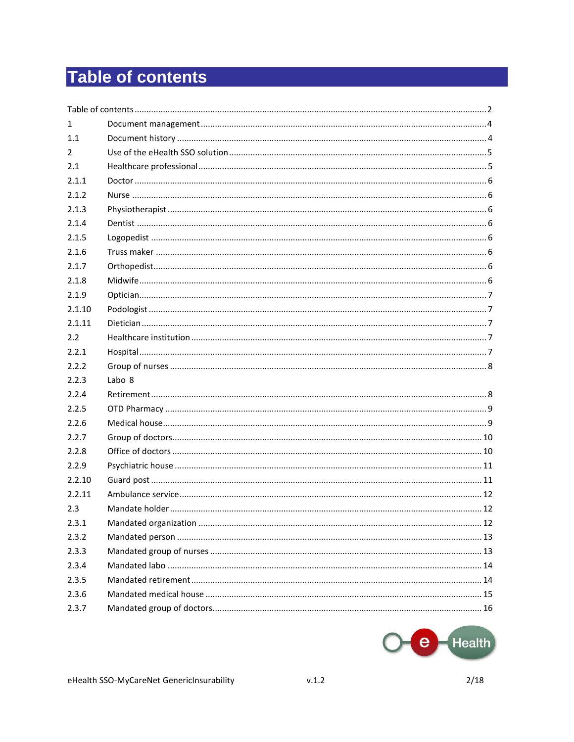# **Table of contents**

| 1      |                   |  |
|--------|-------------------|--|
| 1.1    |                   |  |
| 2      |                   |  |
| 2.1    |                   |  |
| 2.1.1  |                   |  |
| 2.1.2  |                   |  |
| 2.1.3  |                   |  |
| 2.1.4  |                   |  |
| 2.1.5  |                   |  |
| 2.1.6  |                   |  |
| 2.1.7  |                   |  |
| 2.1.8  |                   |  |
| 2.1.9  |                   |  |
| 2.1.10 |                   |  |
| 2.1.11 |                   |  |
| 2.2    |                   |  |
| 2.2.1  |                   |  |
| 2.2.2  |                   |  |
| 2.2.3  | Labo <sub>8</sub> |  |
| 2.2.4  |                   |  |
| 2.2.5  |                   |  |
| 2.2.6  |                   |  |
| 2.2.7  |                   |  |
| 2.2.8  |                   |  |
| 2.2.9  |                   |  |
| 2.2.10 |                   |  |
| 2.2.11 |                   |  |
| 2.3    |                   |  |
| 2.3.1  |                   |  |
| 2.3.2  |                   |  |
| 2.3.3  |                   |  |
| 2.3.4  |                   |  |
| 2.3.5  |                   |  |
| 2.3.6  |                   |  |
| 2.3.7  |                   |  |
|        |                   |  |

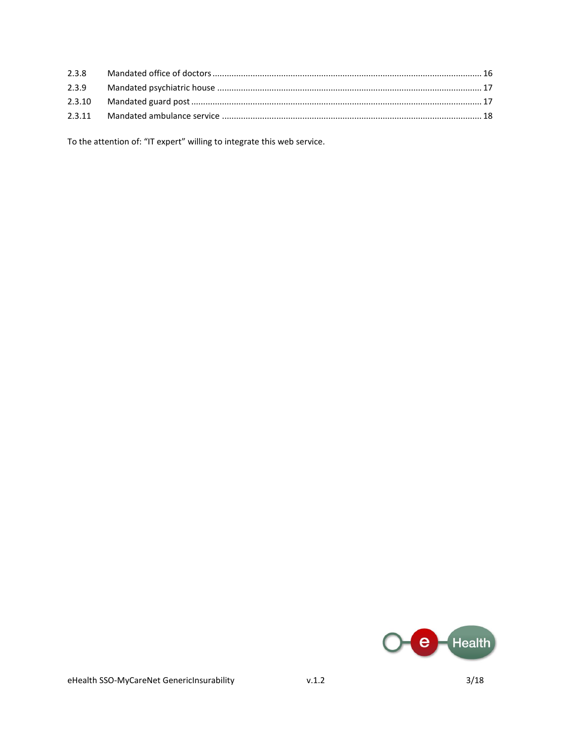To the attention of: "IT expert" willing to integrate this web service.

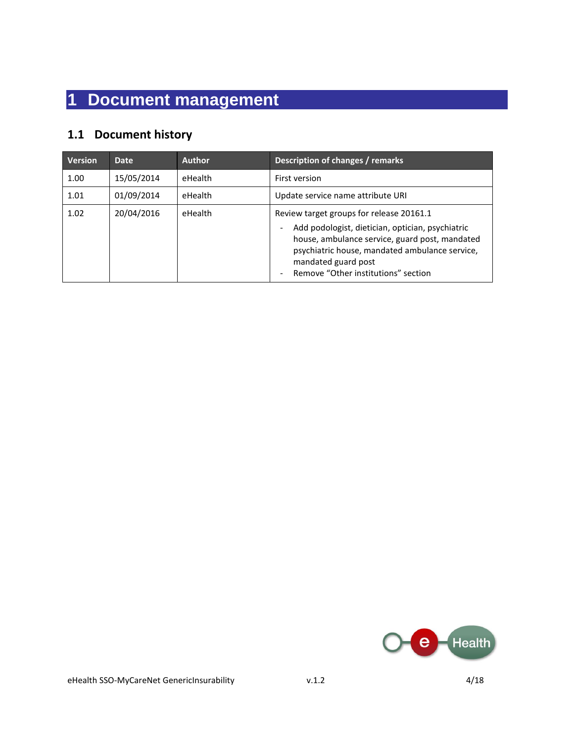# **1 Document management**

### **1.1 Document history**

| <b>Version</b> | <b>Date</b> | <b>Author</b> | Description of changes / remarks                                                                                                                                                                                                                               |
|----------------|-------------|---------------|----------------------------------------------------------------------------------------------------------------------------------------------------------------------------------------------------------------------------------------------------------------|
| 1.00           | 15/05/2014  | eHealth       | First version                                                                                                                                                                                                                                                  |
| 1.01           | 01/09/2014  | eHealth       | Update service name attribute URI                                                                                                                                                                                                                              |
| 1.02           | 20/04/2016  | eHealth       | Review target groups for release 20161.1<br>Add podologist, dietician, optician, psychiatric<br>house, ambulance service, guard post, mandated<br>psychiatric house, mandated ambulance service,<br>mandated guard post<br>Remove "Other institutions" section |

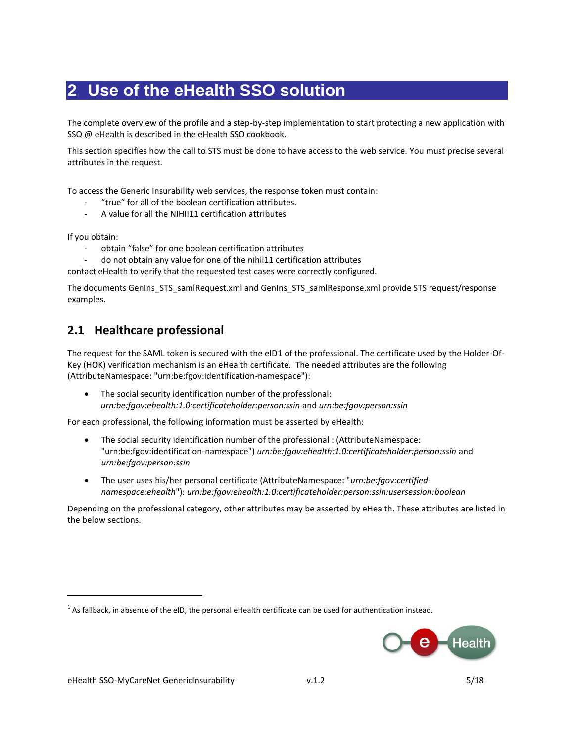## **2 Use of the eHealth SSO solution**

The complete overview of the profile and a step-by-step implementation to start protecting a new application with SSO @ eHealth is described in the eHealth SSO cookbook.

This section specifies how the call to STS must be done to have access to the web service. You must precise several attributes in the request.

To access the Generic Insurability web services, the response token must contain:

- "true" for all of the boolean certification attributes.
- A value for all the NIHII11 certification attributes

If you obtain:

 $\overline{a}$ 

obtain "false" for one boolean certification attributes

- do not obtain any value for one of the nihii11 certification attributes

contact eHealth to verify that the requested test cases were correctly configured.

The documents GenIns\_STS\_samlRequest.xml and GenIns\_STS\_samlResponse.xml provide STS request/response examples.

### **2.1 Healthcare professional**

The request for the SAML token is secured with the eID1 of the professional. The certificate used by the Holder-Of-Key (HOK) verification mechanism is an eHealth certificate. The needed attributes are the following (AttributeNamespace: "urn:be:fgov:identification-namespace"):

• The social security identification number of the professional: *urn:be:fgov:ehealth:1.0:certificateholder:person:ssin* and *urn:be:fgov:person:ssin*

For each professional, the following information must be asserted by eHealth:

- The social security identification number of the professional : (AttributeNamespace: "urn:be:fgov:identification-namespace") *urn:be:fgov:ehealth:1.0:certificateholder:person:ssin* and *urn:be:fgov:person:ssin*
- The user uses his/her personal certificate (AttributeNamespace: "*urn:be:fgov:certifiednamespace:ehealth*"): *urn:be:fgov:ehealth:1.0:certificateholder:person:ssin:usersession:boolean*

Depending on the professional category, other attributes may be asserted by eHealth. These attributes are listed in the below sections.

 $^{1}$  As fallback, in absence of the eID, the personal eHealth certificate can be used for authentication instead.

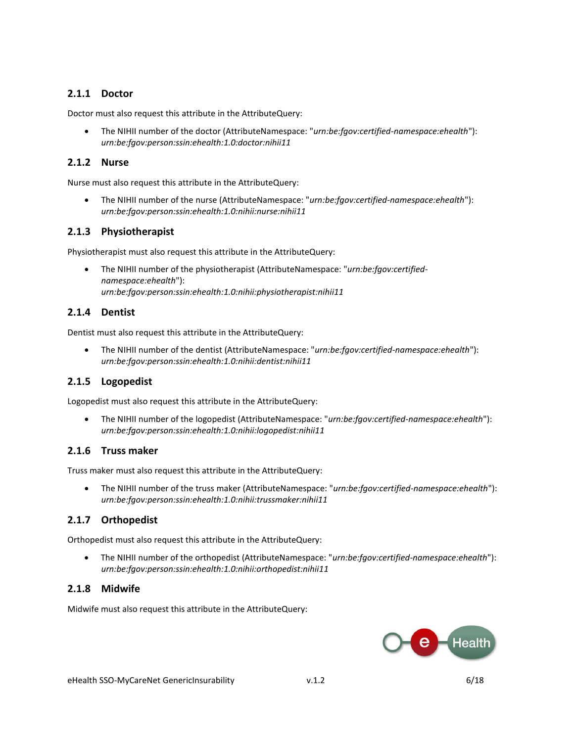#### **2.1.1 Doctor**

Doctor must also request this attribute in the AttributeQuery:

 The NIHII number of the doctor (AttributeNamespace: "*urn:be:fgov:certified-namespace:ehealth*"): *urn:be:fgov:person:ssin:ehealth:1.0:doctor:nihii11*

#### **2.1.2 Nurse**

Nurse must also request this attribute in the AttributeQuery:

 The NIHII number of the nurse (AttributeNamespace: "*urn:be:fgov:certified-namespace:ehealth*"): *urn:be:fgov:person:ssin:ehealth:1.0:nihii:nurse:nihii11*

#### **2.1.3 Physiotherapist**

Physiotherapist must also request this attribute in the AttributeQuery:

 The NIHII number of the physiotherapist (AttributeNamespace: "*urn:be:fgov:certifiednamespace:ehealth*"): *urn:be:fgov:person:ssin:ehealth:1.0:nihii:physiotherapist:nihii11*

#### **2.1.4 Dentist**

Dentist must also request this attribute in the AttributeQuery:

 The NIHII number of the dentist (AttributeNamespace: "*urn:be:fgov:certified-namespace:ehealth*"): *urn:be:fgov:person:ssin:ehealth:1.0:nihii:dentist:nihii11*

#### **2.1.5 Logopedist**

Logopedist must also request this attribute in the AttributeQuery:

 The NIHII number of the logopedist (AttributeNamespace: "*urn:be:fgov:certified-namespace:ehealth*"): *urn:be:fgov:person:ssin:ehealth:1.0:nihii:logopedist:nihii11*

#### **2.1.6 Truss maker**

Truss maker must also request this attribute in the AttributeQuery:

 The NIHII number of the truss maker (AttributeNamespace: "*urn:be:fgov:certified-namespace:ehealth*"): *urn:be:fgov:person:ssin:ehealth:1.0:nihii:trussmaker:nihii11*

#### **2.1.7 Orthopedist**

Orthopedist must also request this attribute in the AttributeQuery:

 The NIHII number of the orthopedist (AttributeNamespace: "*urn:be:fgov:certified-namespace:ehealth*"): *urn:be:fgov:person:ssin:ehealth:1.0:nihii:orthopedist:nihii11*

#### **2.1.8 Midwife**

Midwife must also request this attribute in the AttributeQuery:

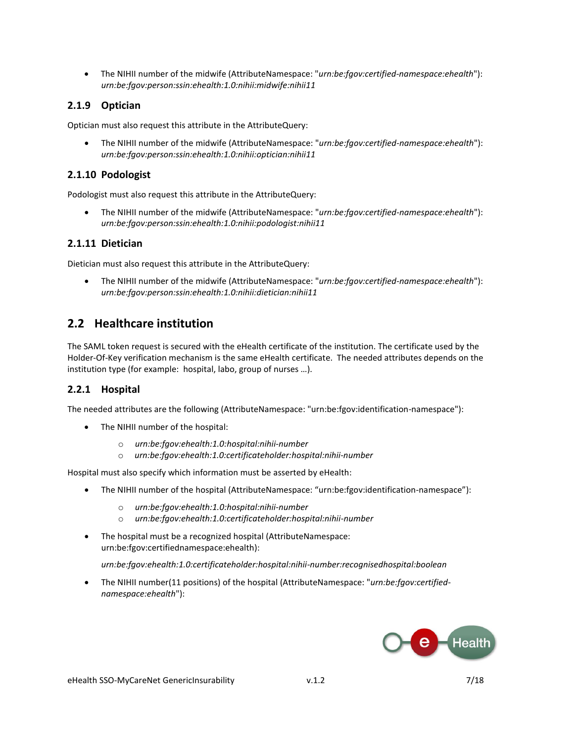The NIHII number of the midwife (AttributeNamespace: "*urn:be:fgov:certified-namespace:ehealth*"): *urn:be:fgov:person:ssin:ehealth:1.0:nihii:midwife:nihii11*

#### **2.1.9 Optician**

Optician must also request this attribute in the AttributeQuery:

 The NIHII number of the midwife (AttributeNamespace: "*urn:be:fgov:certified-namespace:ehealth*"): *urn:be:fgov:person:ssin:ehealth:1.0:nihii:optician:nihii11*

#### **2.1.10 Podologist**

Podologist must also request this attribute in the AttributeQuery:

 The NIHII number of the midwife (AttributeNamespace: "*urn:be:fgov:certified-namespace:ehealth*"): *urn:be:fgov:person:ssin:ehealth:1.0:nihii:podologist:nihii11*

#### **2.1.11 Dietician**

Dietician must also request this attribute in the AttributeQuery:

 The NIHII number of the midwife (AttributeNamespace: "*urn:be:fgov:certified-namespace:ehealth*"): *urn:be:fgov:person:ssin:ehealth:1.0:nihii:dietician:nihii11*

### **2.2 Healthcare institution**

The SAML token request is secured with the eHealth certificate of the institution. The certificate used by the Holder-Of-Key verification mechanism is the same eHealth certificate. The needed attributes depends on the institution type (for example: hospital, labo, group of nurses …).

#### **2.2.1 Hospital**

The needed attributes are the following (AttributeNamespace: "urn:be:fgov:identification-namespace"):

- The NIHII number of the hospital:
	- o *urn:be:fgov:ehealth:1.0:hospital:nihii-number*
	- o *urn:be:fgov:ehealth:1.0:certificateholder:hospital:nihii-number*

Hospital must also specify which information must be asserted by eHealth:

- The NIHII number of the hospital (AttributeNamespace: "urn:be:fgov:identification-namespace"):
	- o *urn:be:fgov:ehealth:1.0:hospital:nihii-number*
	- o *urn:be:fgov:ehealth:1.0:certificateholder:hospital:nihii-number*
- The hospital must be a recognized hospital (AttributeNamespace: urn:be:fgov:certifiednamespace:ehealth):

*urn:be:fgov:ehealth:1.0:certificateholder:hospital:nihii-number:recognisedhospital:boolean*

 The NIHII number(11 positions) of the hospital (AttributeNamespace: "*urn:be:fgov:certifiednamespace:ehealth*"):

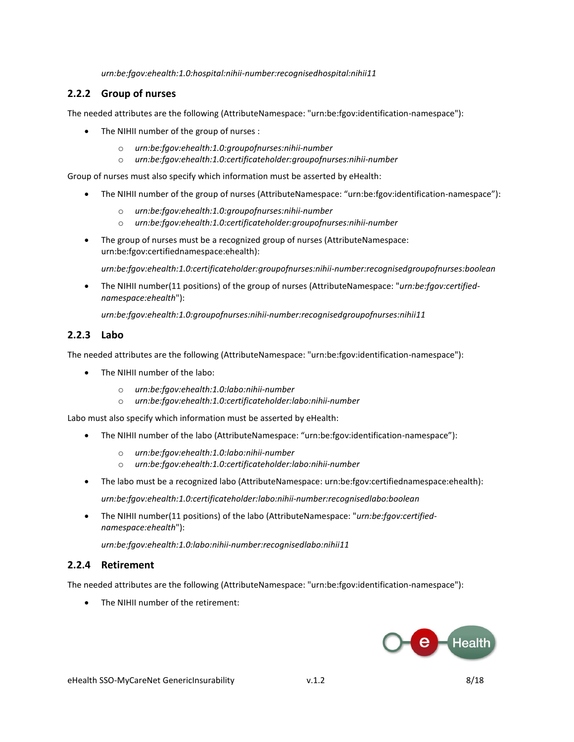*urn:be:fgov:ehealth:1.0:hospital:nihii-number:recognisedhospital:nihii11*

#### **2.2.2 Group of nurses**

The needed attributes are the following (AttributeNamespace: "urn:be:fgov:identification-namespace"):

- The NIHII number of the group of nurses :
	- o *urn:be:fgov:ehealth:1.0:groupofnurses:nihii-number*
	- o *urn:be:fgov:ehealth:1.0:certificateholder:groupofnurses:nihii-number*

Group of nurses must also specify which information must be asserted by eHealth:

- The NIHII number of the group of nurses (AttributeNamespace: "urn:be:fgov:identification-namespace"):
	- o *urn:be:fgov:ehealth:1.0:groupofnurses:nihii-number*
	- o *urn:be:fgov:ehealth:1.0:certificateholder:groupofnurses:nihii-number*
- The group of nurses must be a recognized group of nurses (AttributeNamespace: urn:be:fgov:certifiednamespace:ehealth):

*urn:be:fgov:ehealth:1.0:certificateholder:groupofnurses:nihii-number:recognisedgroupofnurses:boolean*

 The NIHII number(11 positions) of the group of nurses (AttributeNamespace: "*urn:be:fgov:certifiednamespace:ehealth*"):

*urn:be:fgov:ehealth:1.0:groupofnurses:nihii-number:recognisedgroupofnurses:nihii11*

#### **2.2.3 Labo**

The needed attributes are the following (AttributeNamespace: "urn:be:fgov:identification-namespace"):

- The NIHII number of the labo:
	- o *urn:be:fgov:ehealth:1.0:labo:nihii-number*
	- o *urn:be:fgov:ehealth:1.0:certificateholder:labo:nihii-number*

Labo must also specify which information must be asserted by eHealth:

- The NIHII number of the labo (AttributeNamespace: "urn:be:fgov:identification-namespace"):
	- o *urn:be:fgov:ehealth:1.0:labo:nihii-number*
	- o *urn:be:fgov:ehealth:1.0:certificateholder:labo:nihii-number*
- The labo must be a recognized labo (AttributeNamespace: urn:be:fgov:certifiednamespace:ehealth): *urn:be:fgov:ehealth:1.0:certificateholder:labo:nihii-number:recognisedlabo:boolean*
- The NIHII number(11 positions) of the labo (AttributeNamespace: "*urn:be:fgov:certifiednamespace:ehealth*"):

*urn:be:fgov:ehealth:1.0:labo:nihii-number:recognisedlabo:nihii11*

#### **2.2.4 Retirement**

The needed attributes are the following (AttributeNamespace: "urn:be:fgov:identification-namespace"):

The NIHII number of the retirement:

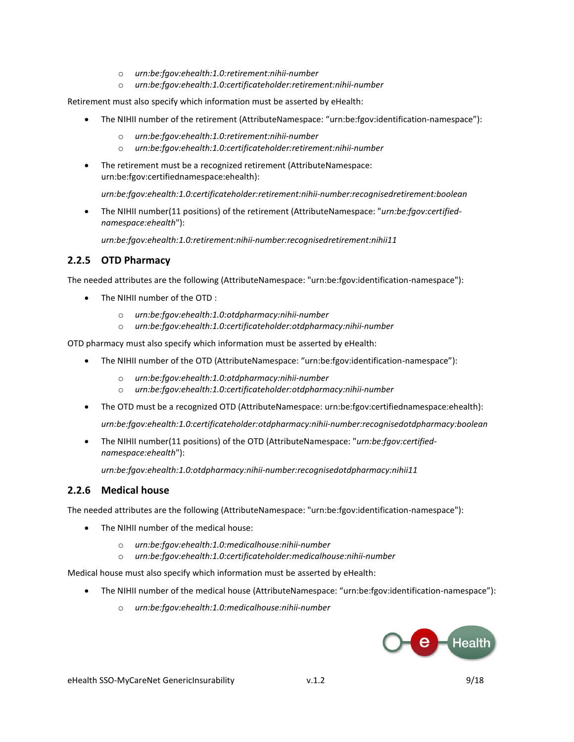- o *urn:be:fgov:ehealth:1.0:retirement:nihii-number*
- o *urn:be:fgov:ehealth:1.0:certificateholder:retirement:nihii-number*

Retirement must also specify which information must be asserted by eHealth:

- The NIHII number of the retirement (AttributeNamespace: "urn:be:fgov:identification-namespace"):
	- o *urn:be:fgov:ehealth:1.0:retirement:nihii-number*
	- o *urn:be:fgov:ehealth:1.0:certificateholder:retirement:nihii-number*
- The retirement must be a recognized retirement (AttributeNamespace: urn:be:fgov:certifiednamespace:ehealth):

*urn:be:fgov:ehealth:1.0:certificateholder:retirement:nihii-number:recognisedretirement:boolean*

 The NIHII number(11 positions) of the retirement (AttributeNamespace: "*urn:be:fgov:certifiednamespace:ehealth*"):

*urn:be:fgov:ehealth:1.0:retirement:nihii-number:recognisedretirement:nihii11*

#### **2.2.5 OTD Pharmacy**

The needed attributes are the following (AttributeNamespace: "urn:be:fgov:identification-namespace"):

- The NIHII number of the OTD :
	- o *urn:be:fgov:ehealth:1.0:otdpharmacy:nihii-number*
	- o *urn:be:fgov:ehealth:1.0:certificateholder:otdpharmacy:nihii-number*

OTD pharmacy must also specify which information must be asserted by eHealth:

- The NIHII number of the OTD (AttributeNamespace: "urn:be:fgov:identification-namespace"):
	- o *urn:be:fgov:ehealth:1.0:otdpharmacy:nihii-number*
	- o *urn:be:fgov:ehealth:1.0:certificateholder:otdpharmacy:nihii-number*
- The OTD must be a recognized OTD (AttributeNamespace: urn:be:fgov:certifiednamespace:ehealth): *urn:be:fgov:ehealth:1.0:certificateholder:otdpharmacy:nihii-number:recognisedotdpharmacy:boolean*
- The NIHII number(11 positions) of the OTD (AttributeNamespace: "*urn:be:fgov:certifiednamespace:ehealth*"):

*urn:be:fgov:ehealth:1.0:otdpharmacy:nihii-number:recognisedotdpharmacy:nihii11*

#### **2.2.6 Medical house**

The needed attributes are the following (AttributeNamespace: "urn:be:fgov:identification-namespace"):

- The NIHII number of the medical house:
	- o *urn:be:fgov:ehealth:1.0:medicalhouse:nihii-number*
	- o *urn:be:fgov:ehealth:1.0:certificateholder:medicalhouse:nihii-number*

Medical house must also specify which information must be asserted by eHealth:

- The NIHII number of the medical house (AttributeNamespace: "urn:be:fgov:identification-namespace"):
	- o *urn:be:fgov:ehealth:1.0:medicalhouse:nihii-number*

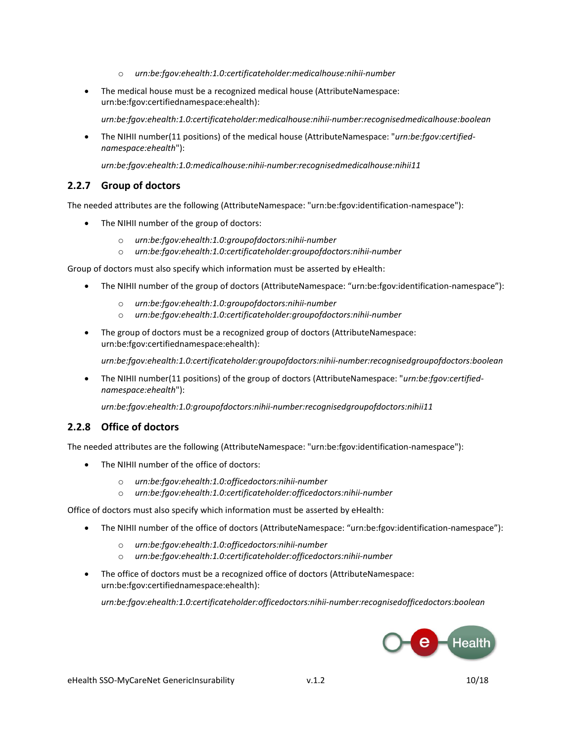- o *urn:be:fgov:ehealth:1.0:certificateholder:medicalhouse:nihii-number*
- The medical house must be a recognized medical house (AttributeNamespace: urn:be:fgov:certifiednamespace:ehealth):

*urn:be:fgov:ehealth:1.0:certificateholder:medicalhouse:nihii-number:recognisedmedicalhouse:boolean*

 The NIHII number(11 positions) of the medical house (AttributeNamespace: "*urn:be:fgov:certifiednamespace:ehealth*"):

*urn:be:fgov:ehealth:1.0:medicalhouse:nihii-number:recognisedmedicalhouse:nihii11*

#### **2.2.7 Group of doctors**

The needed attributes are the following (AttributeNamespace: "urn:be:fgov:identification-namespace"):

- The NIHII number of the group of doctors:
	- o *urn:be:fgov:ehealth:1.0:groupofdoctors:nihii-number*
	- o *urn:be:fgov:ehealth:1.0:certificateholder:groupofdoctors:nihii-number*

Group of doctors must also specify which information must be asserted by eHealth:

- The NIHII number of the group of doctors (AttributeNamespace: "urn:be:fgov:identification-namespace"):
	- o *urn:be:fgov:ehealth:1.0:groupofdoctors:nihii-number*
	- o *urn:be:fgov:ehealth:1.0:certificateholder:groupofdoctors:nihii-number*
- The group of doctors must be a recognized group of doctors (AttributeNamespace: urn:be:fgov:certifiednamespace:ehealth):

*urn:be:fgov:ehealth:1.0:certificateholder:groupofdoctors:nihii-number:recognisedgroupofdoctors:boolean*

 The NIHII number(11 positions) of the group of doctors (AttributeNamespace: "*urn:be:fgov:certifiednamespace:ehealth*"):

*urn:be:fgov:ehealth:1.0:groupofdoctors:nihii-number:recognisedgroupofdoctors:nihii11*

#### **2.2.8 Office of doctors**

The needed attributes are the following (AttributeNamespace: "urn:be:fgov:identification-namespace"):

- The NIHII number of the office of doctors:
	- o *urn:be:fgov:ehealth:1.0:officedoctors:nihii-number*
	- o *urn:be:fgov:ehealth:1.0:certificateholder:officedoctors:nihii-number*

Office of doctors must also specify which information must be asserted by eHealth:

- The NIHII number of the office of doctors (AttributeNamespace: "urn:be:fgov:identification-namespace"):
	- o *urn:be:fgov:ehealth:1.0:officedoctors:nihii-number*
	- o *urn:be:fgov:ehealth:1.0:certificateholder:officedoctors:nihii-number*
- The office of doctors must be a recognized office of doctors (AttributeNamespace: urn:be:fgov:certifiednamespace:ehealth):

*urn:be:fgov:ehealth:1.0:certificateholder:officedoctors:nihii-number:recognisedofficedoctors:boolean*

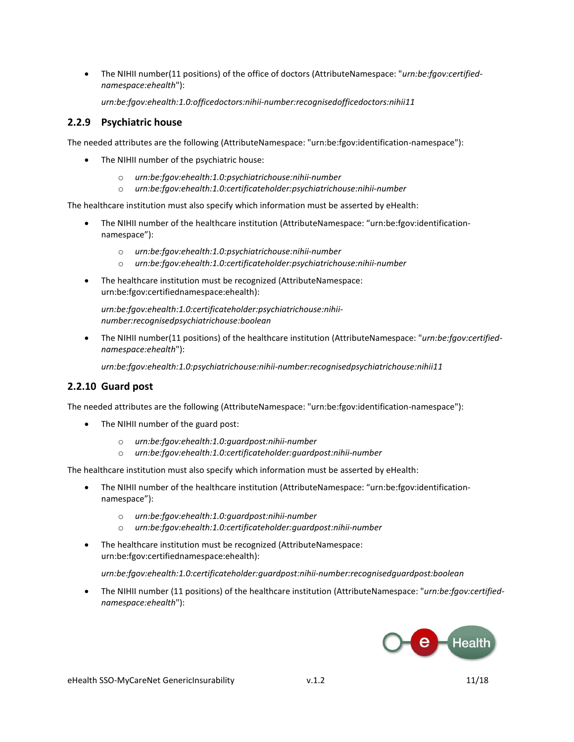• The NIHII number(11 positions) of the office of doctors (AttributeNamespace: "*urn:be:fgov:certifiednamespace:ehealth*"):

*urn:be:fgov:ehealth:1.0:officedoctors:nihii-number:recognisedofficedoctors:nihii11*

#### **2.2.9 Psychiatric house**

The needed attributes are the following (AttributeNamespace: "urn:be:fgov:identification-namespace"):

- The NIHII number of the psychiatric house:
	- o *urn:be:fgov:ehealth:1.0:psychiatrichouse:nihii-number*
	- o *urn:be:fgov:ehealth:1.0:certificateholder:psychiatrichouse:nihii-number*

The healthcare institution must also specify which information must be asserted by eHealth:

- The NIHII number of the healthcare institution (AttributeNamespace: "urn:be:fgov:identificationnamespace"):
	- o *urn:be:fgov:ehealth:1.0:psychiatrichouse:nihii-number*
	- o *urn:be:fgov:ehealth:1.0:certificateholder:psychiatrichouse:nihii-number*
- The healthcare institution must be recognized (AttributeNamespace: urn:be:fgov:certifiednamespace:ehealth):

*urn:be:fgov:ehealth:1.0:certificateholder:psychiatrichouse:nihiinumber:recognisedpsychiatrichouse:boolean*

 The NIHII number(11 positions) of the healthcare institution (AttributeNamespace: "*urn:be:fgov:certifiednamespace:ehealth*"):

*urn:be:fgov:ehealth:1.0:psychiatrichouse:nihii-number:recognisedpsychiatrichouse:nihii11*

#### **2.2.10 Guard post**

The needed attributes are the following (AttributeNamespace: "urn:be:fgov:identification-namespace"):

- The NIHII number of the guard post:
	- o *urn:be:fgov:ehealth:1.0:guardpost:nihii-number*
	- o *urn:be:fgov:ehealth:1.0:certificateholder:guardpost:nihii-number*

The healthcare institution must also specify which information must be asserted by eHealth:

- The NIHII number of the healthcare institution (AttributeNamespace: "urn:be:fgov:identificationnamespace"):
	- o *urn:be:fgov:ehealth:1.0:guardpost:nihii-number*
	- o *urn:be:fgov:ehealth:1.0:certificateholder:guardpost:nihii-number*
- The healthcare institution must be recognized (AttributeNamespace: urn:be:fgov:certifiednamespace:ehealth):

*urn:be:fgov:ehealth:1.0:certificateholder:guardpost:nihii-number:recognisedguardpost:boolean*

 The NIHII number (11 positions) of the healthcare institution (AttributeNamespace: "*urn:be:fgov:certifiednamespace:ehealth*"):

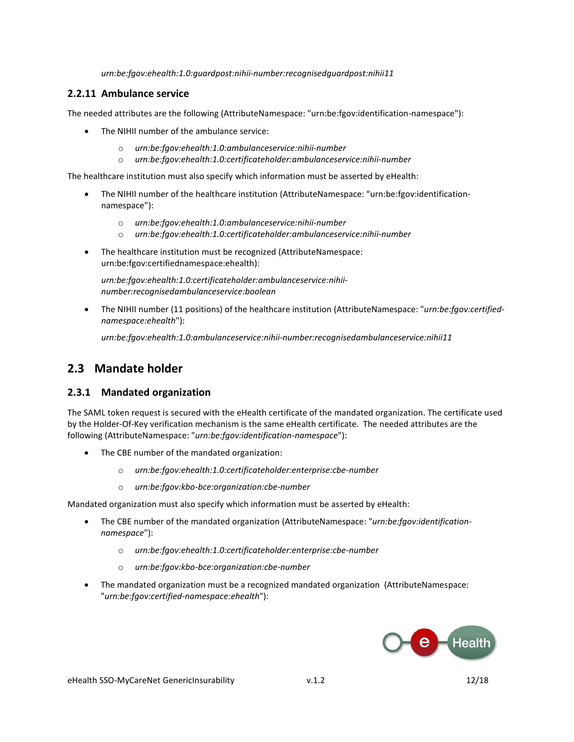*urn:be:fgov:ehealth:1.0:guardpost:nihii-number:recognisedguardpost:nihii11*

#### **2.2.11 Ambulance service**

The needed attributes are the following (AttributeNamespace: "urn:be:fgov:identification-namespace"):

- The NIHII number of the ambulance service:
	- o *urn:be:fgov:ehealth:1.0:ambulanceservice:nihii-number*
	- o *urn:be:fgov:ehealth:1.0:certificateholder:ambulanceservice:nihii-number*

The healthcare institution must also specify which information must be asserted by eHealth:

- The NIHII number of the healthcare institution (AttributeNamespace: "urn:be:fgov:identificationnamespace"):
	- o *urn:be:fgov:ehealth:1.0:ambulanceservice:nihii-number*
	- o *urn:be:fgov:ehealth:1.0:certificateholder:ambulanceservice:nihii-number*
- The healthcare institution must be recognized (AttributeNamespace: urn:be:fgov:certifiednamespace:ehealth):

*urn:be:fgov:ehealth:1.0:certificateholder:ambulanceservice:nihiinumber:recognisedambulanceservice:boolean*

 The NIHII number (11 positions) of the healthcare institution (AttributeNamespace: "*urn:be:fgov:certifiednamespace:ehealth*"):

*urn:be:fgov:ehealth:1.0:ambulanceservice:nihii-number:recognisedambulanceservice:nihii11*

### **2.3 Mandate holder**

#### **2.3.1 Mandated organization**

The SAML token request is secured with the eHealth certificate of the mandated organization. The certificate used by the Holder-Of-Key verification mechanism is the same eHealth certificate. The needed attributes are the following (AttributeNamespace: "*urn:be:fgov:identification-namespace*"):

- The CBE number of the mandated organization:
	- o *urn:be:fgov:ehealth:1.0:certificateholder:enterprise:cbe-number*
	- o *urn:be:fgov:kbo-bce:organization:cbe-number*

Mandated organization must also specify which information must be asserted by eHealth:

- The CBE number of the mandated organization (AttributeNamespace: "*urn:be:fgov:identificationnamespace*"):
	- o *urn:be:fgov:ehealth:1.0:certificateholder:enterprise:cbe-number*
	- o *urn:be:fgov:kbo-bce:organization:cbe-number*
- The mandated organization must be a recognized mandated organization (AttributeNamespace: "*urn:be:fgov:certified-namespace:ehealth*"):

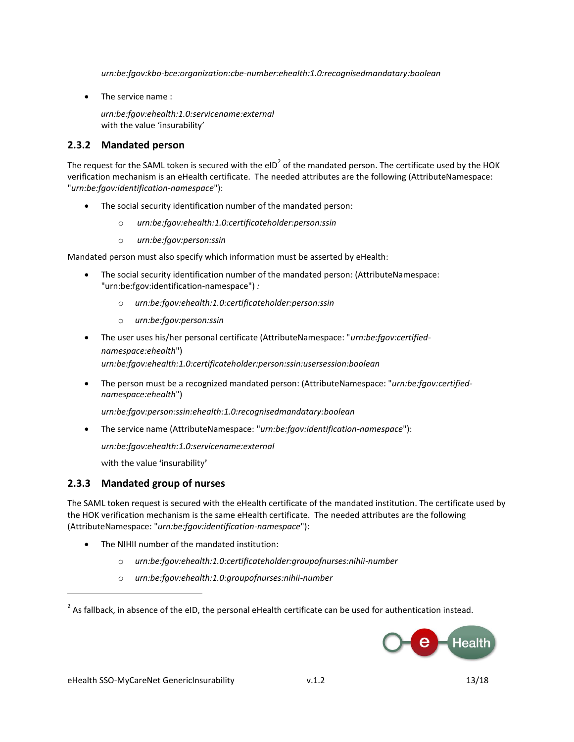*urn:be:fgov:kbo-bce:organization:cbe-number:ehealth:1.0:recognisedmandatary:boolean*

• The service name :

*urn:be:fgov:ehealth:1.0:servicename:external*  with the value 'insurability'

#### **2.3.2 Mandated person**

The request for the SAML token is secured with the eID<sup>2</sup> of the mandated person. The certificate used by the HOK verification mechanism is an eHealth certificate. The needed attributes are the following (AttributeNamespace: "*urn:be:fgov:identification-namespace*"):

- The social security identification number of the mandated person:
	- o *urn:be:fgov:ehealth:1.0:certificateholder:person:ssin*
	- o *urn:be:fgov:person:ssin*

Mandated person must also specify which information must be asserted by eHealth:

- The social security identification number of the mandated person: (AttributeNamespace: "urn:be:fgov:identification-namespace") *:*
	- o *urn:be:fgov:ehealth:1.0:certificateholder:person:ssin*
	- o *urn:be:fgov:person:ssin*
- The user uses his/her personal certificate (AttributeNamespace: "*urn:be:fgov:certifiednamespace:ehealth*") *urn:be:fgov:ehealth:1.0:certificateholder:person:ssin:usersession:boolean*
- The person must be a recognized mandated person: (AttributeNamespace: "*urn:be:fgov:certifiednamespace:ehealth*")

*urn:be:fgov:person:ssin:ehealth:1.0:recognisedmandatary:boolean*

The service name (AttributeNamespace: "*urn:be:fgov:identification-namespace*"):

*urn:be:fgov:ehealth:1.0:servicename:external* 

with the value 'insurability'

#### **2.3.3 Mandated group of nurses**

The SAML token request is secured with the eHealth certificate of the mandated institution. The certificate used by the HOK verification mechanism is the same eHealth certificate. The needed attributes are the following (AttributeNamespace: "*urn:be:fgov:identification-namespace*"):

- The NIHII number of the mandated institution:
	- o *urn:be:fgov:ehealth:1.0:certificateholder:groupofnurses:nihii-number*
	- o *urn:be:fgov:ehealth:1.0:groupofnurses:nihii-number*

 $^{2}$  As fallback, in absence of the eID, the personal eHealth certificate can be used for authentication instead.



 $\overline{a}$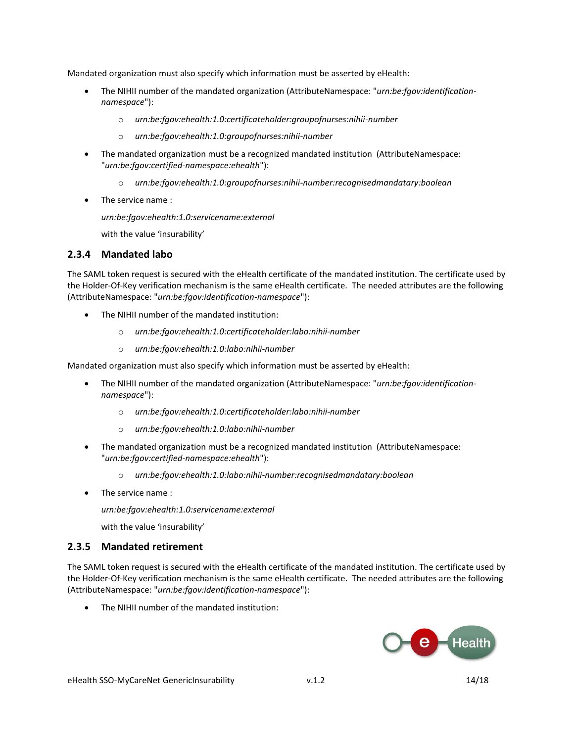Mandated organization must also specify which information must be asserted by eHealth:

- The NIHII number of the mandated organization (AttributeNamespace: "*urn:be:fgov:identificationnamespace*"):
	- o *urn:be:fgov:ehealth:1.0:certificateholder:groupofnurses:nihii-number*
	- o *urn:be:fgov:ehealth:1.0:groupofnurses:nihii-number*
- The mandated organization must be a recognized mandated institution (AttributeNamespace: "*urn:be:fgov:certified-namespace:ehealth*"):
	- o *urn:be:fgov:ehealth:1.0:groupofnurses:nihii-number:recognisedmandatary:boolean*
- The service name :

*urn:be:fgov:ehealth:1.0:servicename:external* 

with the value 'insurability'

#### **2.3.4 Mandated labo**

The SAML token request is secured with the eHealth certificate of the mandated institution. The certificate used by the Holder-Of-Key verification mechanism is the same eHealth certificate. The needed attributes are the following (AttributeNamespace: "*urn:be:fgov:identification-namespace*"):

- The NIHII number of the mandated institution:
	- o *urn:be:fgov:ehealth:1.0:certificateholder:labo:nihii-number*
	- o *urn:be:fgov:ehealth:1.0:labo:nihii-number*

Mandated organization must also specify which information must be asserted by eHealth:

- The NIHII number of the mandated organization (AttributeNamespace: "*urn:be:fgov:identificationnamespace*"):
	- o *urn:be:fgov:ehealth:1.0:certificateholder:labo:nihii-number*
	- o *urn:be:fgov:ehealth:1.0:labo:nihii-number*
- The mandated organization must be a recognized mandated institution (AttributeNamespace: "*urn:be:fgov:certified-namespace:ehealth*"):
	- o *urn:be:fgov:ehealth:1.0:labo:nihii-number:recognisedmandatary:boolean*
- The service name :

*urn:be:fgov:ehealth:1.0:servicename:external* 

with the value 'insurability'

#### **2.3.5 Mandated retirement**

The SAML token request is secured with the eHealth certificate of the mandated institution. The certificate used by the Holder-Of-Key verification mechanism is the same eHealth certificate. The needed attributes are the following (AttributeNamespace: "*urn:be:fgov:identification-namespace*"):

• The NIHII number of the mandated institution:

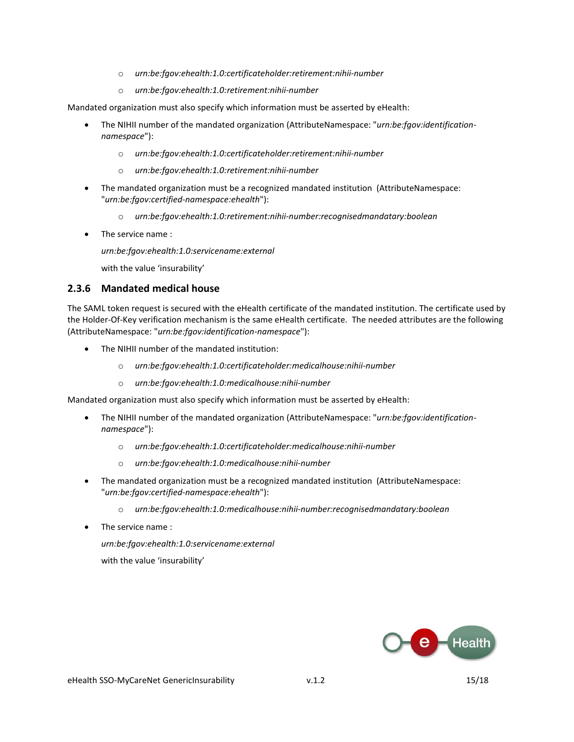- o *urn:be:fgov:ehealth:1.0:certificateholder:retirement:nihii-number*
- o *urn:be:fgov:ehealth:1.0:retirement:nihii-number*

Mandated organization must also specify which information must be asserted by eHealth:

- The NIHII number of the mandated organization (AttributeNamespace: "*urn:be:fgov:identificationnamespace*"):
	- o *urn:be:fgov:ehealth:1.0:certificateholder:retirement:nihii-number*
	- o *urn:be:fgov:ehealth:1.0:retirement:nihii-number*
- The mandated organization must be a recognized mandated institution (AttributeNamespace: "*urn:be:fgov:certified-namespace:ehealth*"):
	- o *urn:be:fgov:ehealth:1.0:retirement:nihii-number:recognisedmandatary:boolean*
- The service name :

*urn:be:fgov:ehealth:1.0:servicename:external* 

with the value 'insurability'

#### **2.3.6 Mandated medical house**

The SAML token request is secured with the eHealth certificate of the mandated institution. The certificate used by the Holder-Of-Key verification mechanism is the same eHealth certificate. The needed attributes are the following (AttributeNamespace: "*urn:be:fgov:identification-namespace*"):

- The NIHII number of the mandated institution:
	- o *urn:be:fgov:ehealth:1.0:certificateholder:medicalhouse:nihii-number*
	- o *urn:be:fgov:ehealth:1.0:medicalhouse:nihii-number*

Mandated organization must also specify which information must be asserted by eHealth:

- The NIHII number of the mandated organization (AttributeNamespace: "*urn:be:fgov:identificationnamespace*"):
	- o *urn:be:fgov:ehealth:1.0:certificateholder:medicalhouse:nihii-number*
	- o *urn:be:fgov:ehealth:1.0:medicalhouse:nihii-number*
- The mandated organization must be a recognized mandated institution (AttributeNamespace: "*urn:be:fgov:certified-namespace:ehealth*"):
	- o *urn:be:fgov:ehealth:1.0:medicalhouse:nihii-number:recognisedmandatary:boolean*
- The service name :

*urn:be:fgov:ehealth:1.0:servicename:external* 

with the value 'insurability'

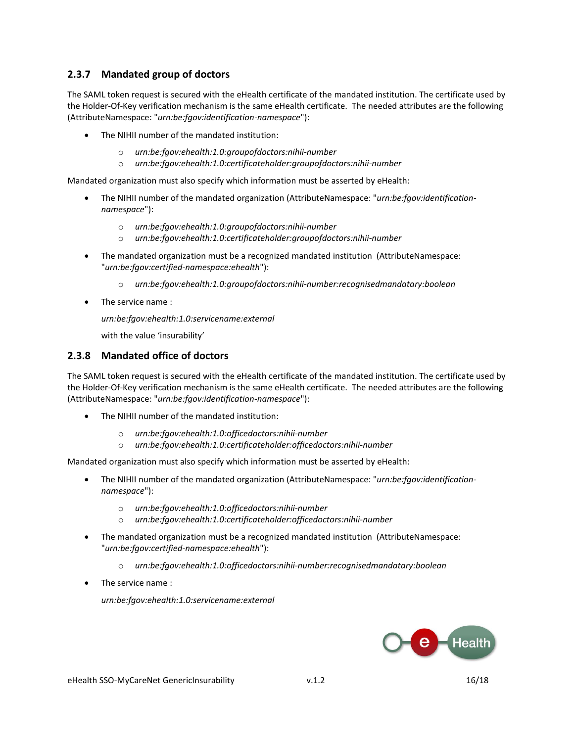#### **2.3.7 Mandated group of doctors**

The SAML token request is secured with the eHealth certificate of the mandated institution. The certificate used by the Holder-Of-Key verification mechanism is the same eHealth certificate. The needed attributes are the following (AttributeNamespace: "*urn:be:fgov:identification-namespace*"):

- The NIHII number of the mandated institution:
	- o *urn:be:fgov:ehealth:1.0:groupofdoctors:nihii-number*
	- o *urn:be:fgov:ehealth:1.0:certificateholder:groupofdoctors:nihii-number*

Mandated organization must also specify which information must be asserted by eHealth:

- The NIHII number of the mandated organization (AttributeNamespace: "*urn:be:fgov:identificationnamespace*"):
	- o *urn:be:fgov:ehealth:1.0:groupofdoctors:nihii-number*
	- o *urn:be:fgov:ehealth:1.0:certificateholder:groupofdoctors:nihii-number*
- The mandated organization must be a recognized mandated institution (AttributeNamespace: "*urn:be:fgov:certified-namespace:ehealth*"):
	- o *urn:be:fgov:ehealth:1.0:groupofdoctors:nihii-number:recognisedmandatary:boolean*
- The service name :

*urn:be:fgov:ehealth:1.0:servicename:external* 

with the value 'insurability'

#### **2.3.8 Mandated office of doctors**

The SAML token request is secured with the eHealth certificate of the mandated institution. The certificate used by the Holder-Of-Key verification mechanism is the same eHealth certificate. The needed attributes are the following (AttributeNamespace: "*urn:be:fgov:identification-namespace*"):

- The NIHII number of the mandated institution:
	- o *urn:be:fgov:ehealth:1.0:officedoctors:nihii-number*
	- o *urn:be:fgov:ehealth:1.0:certificateholder:officedoctors:nihii-number*

Mandated organization must also specify which information must be asserted by eHealth:

- The NIHII number of the mandated organization (AttributeNamespace: "*urn:be:fgov:identificationnamespace*"):
	- o *urn:be:fgov:ehealth:1.0:officedoctors:nihii-number*
	- o *urn:be:fgov:ehealth:1.0:certificateholder:officedoctors:nihii-number*
- The mandated organization must be a recognized mandated institution (AttributeNamespace: "*urn:be:fgov:certified-namespace:ehealth*"):
	- o *urn:be:fgov:ehealth:1.0:officedoctors:nihii-number:recognisedmandatary:boolean*
- The service name :

*urn:be:fgov:ehealth:1.0:servicename:external* 

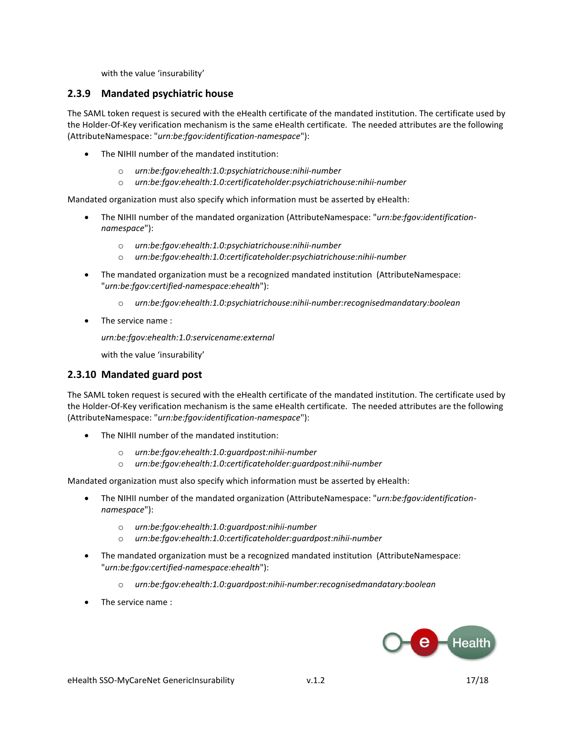with the value 'insurability'

#### **2.3.9 Mandated psychiatric house**

The SAML token request is secured with the eHealth certificate of the mandated institution. The certificate used by the Holder-Of-Key verification mechanism is the same eHealth certificate. The needed attributes are the following (AttributeNamespace: "*urn:be:fgov:identification-namespace*"):

- The NIHII number of the mandated institution:
	- o *urn:be:fgov:ehealth:1.0:psychiatrichouse:nihii-number*
	- o *urn:be:fgov:ehealth:1.0:certificateholder:psychiatrichouse:nihii-number*

Mandated organization must also specify which information must be asserted by eHealth:

- The NIHII number of the mandated organization (AttributeNamespace: "*urn:be:fgov:identificationnamespace*"):
	- o *urn:be:fgov:ehealth:1.0:psychiatrichouse:nihii-number*
	- o *urn:be:fgov:ehealth:1.0:certificateholder:psychiatrichouse:nihii-number*
- The mandated organization must be a recognized mandated institution (AttributeNamespace: "*urn:be:fgov:certified-namespace:ehealth*"):
	- o *urn:be:fgov:ehealth:1.0:psychiatrichouse:nihii-number:recognisedmandatary:boolean*
- The service name :

*urn:be:fgov:ehealth:1.0:servicename:external* 

with the value 'insurability'

#### **2.3.10 Mandated guard post**

The SAML token request is secured with the eHealth certificate of the mandated institution. The certificate used by the Holder-Of-Key verification mechanism is the same eHealth certificate. The needed attributes are the following (AttributeNamespace: "*urn:be:fgov:identification-namespace*"):

- The NIHII number of the mandated institution:
	- o *urn:be:fgov:ehealth:1.0:guardpost:nihii-number*
	- o *urn:be:fgov:ehealth:1.0:certificateholder:guardpost:nihii-number*

Mandated organization must also specify which information must be asserted by eHealth:

- The NIHII number of the mandated organization (AttributeNamespace: "urn:be:fgov:identification*namespace*"):
	- o *urn:be:fgov:ehealth:1.0:guardpost:nihii-number*
	- o *urn:be:fgov:ehealth:1.0:certificateholder:guardpost:nihii-number*
- The mandated organization must be a recognized mandated institution (AttributeNamespace: "*urn:be:fgov:certified-namespace:ehealth*"):
	- o *urn:be:fgov:ehealth:1.0:guardpost:nihii-number:recognisedmandatary:boolean*
- The service name :